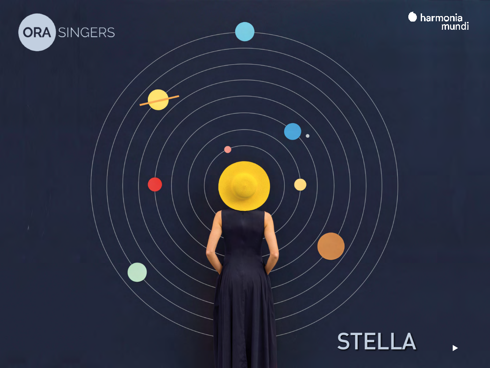



 $\blacktriangleright$ 



 $\bullet$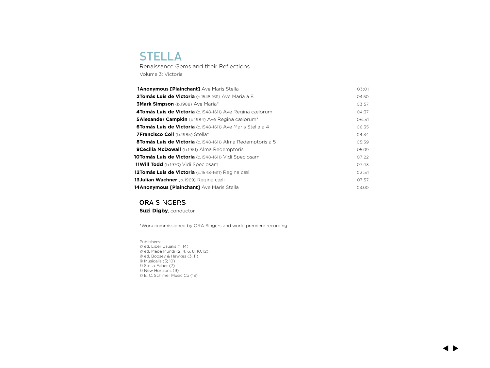# **STELLA**

 Renaissance Gems and their Reflections Volume 3: Victoria

| <b>1Anonymous [Plainchant]</b> Ave Maris Stella                    | 03:01 |
|--------------------------------------------------------------------|-------|
| 2Tomás Luis de Victoria (c.1548-1611) Ave Maria a 8                | 04:50 |
| <b>3Mark Simpson</b> (b.1988) Ave Maria*                           | 03:57 |
| <b>4Tomás Luis de Victoria</b> (c.1548-1611) Ave Regina cælorum    | 04:37 |
| <b>5Alexander Campkin</b> (b.1984) Ave Regina cælorum <sup>*</sup> | 06:51 |
| <b>6Tomás Luis de Victoria</b> (c.1548-1611) Ave Maris Stella a 4  | 06:35 |
| <b>7Francisco Coll</b> (b.1985) Stella*                            | 04:34 |
| <b>8Tomás Luis de Victoria</b> (c.1548-1611) Alma Redemptoris a 5  | 05:39 |
| <b>9Cecilia McDowall</b> (b.1951) Alma Redemptoris                 | 05:09 |
| <b>10Tomás Luis de Victoria</b> (c.1548-1611) Vidi Speciosam       | 07:22 |
| <b>11Will Todd</b> (b.1970) Vidi Speciosam                         | 07:13 |
| 12Tomás Luis de Victoria (c.1548-1611) Regina cæli                 | 03:51 |
| <b>13 Julian Wachner</b> (b.1969) Regina cæli                      | 07:57 |
| 14Anonymous [Plainchant] Ave Maris Stella                          | 03:00 |

## **ORA SINGERS**

**Suzi Digby**, conductor

\*Work commissioned by ORA Singers and world premiere recording

 Publishers: © ed. Liber Usualis (1, 14) © ed. Mapa Mundi (2, 4, 6, 8, 10, 12) © ed. Boosey & Hawkes (3, 11) © Musicalis (5; 10) © Stella-Faber (7) © New Horizons (9) © E. C. Schimer Music Co (13)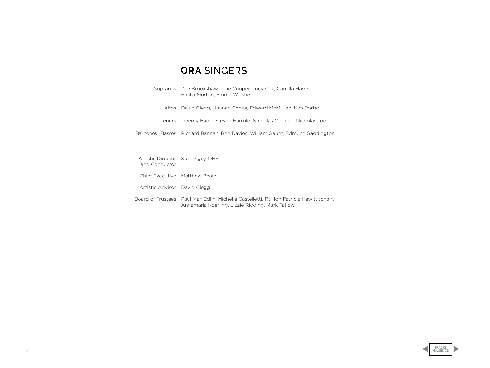# **ORA SINGERS**

|                                                   | Sopranos Zoe Brookshaw, Julie Cooper, Lucy Cox, Camilla Harris,<br>Emilia Morton, Emma Walshe                                              |
|---------------------------------------------------|--------------------------------------------------------------------------------------------------------------------------------------------|
|                                                   | Altos David Clegg, Hannah Cooke, Edward McMullan, Kim Porter                                                                               |
|                                                   | Tenors Jeremy Budd, Steven Harrold, Nicholas Madden, Nicholas Todd                                                                         |
|                                                   | Baritones   Basses Richard Bannan, Ben Davies, William Gaunt, Edmund Saddington                                                            |
|                                                   |                                                                                                                                            |
| Artistic Director Suzi Digby OBE<br>and Conductor |                                                                                                                                            |
| Chief Executive Matthew Beale                     |                                                                                                                                            |
| Artistic Advisor David Clegg                      |                                                                                                                                            |
|                                                   | Board of Trustees Paul Max Edlin, Michelle Castelletti, Rt Hon Patricia Hewitt (chair),<br>Annamaria Koerling, Lizzie Ridding, Mark Tatlow |

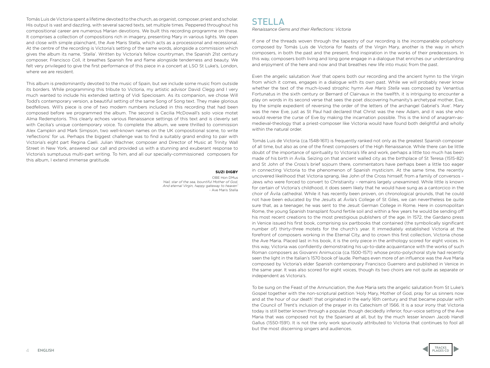Tomás Luis de Victoria spent a lifetime devoted to the church, as organist, composer, priest and scholar. His output is vast and dazzling, with several sacred texts, set multiple times. Peppered throughout his compositional career are numerous Marian devotions. We built this recording programme on these. It comprises a collection of compositions rich in imagery, presenting Mary in various lights. We open and close with simple plainchant, the Ave Maris Stella, which acts as a processional and recessional. At the centre of the recording is Victoria's setting of the same words, alongside a commission which gives the album its name, 'Stella'. Written by Victoria's fellow countryman, the Spanish 21st century composer, Francisco Coll, it breathes Spanish fire and flame alongside tenderness and beauty. We felt very privileged to give the first performance of this piece in a concert at LSO St Luke's, London, where we are resident.

This album is predominantly devoted to the music of Spain, but we include some music from outside its borders. While programming this tribute to Victoria, my artistic advisor David Clegg and I very much wanted to include his extended setting of Vidi Speciosam. As its companion, we chose Will Todd's contemporary version, a beautiful setting of the same Song of Song text. They make glorious bedfellows. Will's piece is one of two modern numbers included in this recording that had been composed before we programmed the album. The second is Cecilia McDowall's solo voice motet Alma Redemptoris. This clearly echoes various Renaissance settings of this text and is cleverly set with Cecilia's unique contemporary voice. To complete the album, we were thrilled to commission Alex Campkin and Mark Simpson, two well-known names on the UK compositional scene, to write 'reflections' for us. Perhaps the biggest challenge was to find a suitably grand ending to pair with Victoria's eight part Regina Caeli. Julian Wachner, composer and Director of Music at Trinity Wall Street in New York, answered our call and provided us with a stunning and exuberant response to Victoria's sumptuous multi-part writing. To him, and all our specially-commissioned composers for this album, I extend immense gratitude.

#### **SUZI DIGBY**

OBE Hon DMus *'Hail, star of the sea, bountiful Mother of God, And eternal Virgin, happy gateway to heaven'* - Ave Maris Stella

## STELL A

*Renaissance Gems and their Reflections: Victoria* 

If one of the threads woven through the tapestry of our recording is the incomparable polyphony composed by Tomás Luis de Victoria for feasts of the Virgin Mary, another is the way in which composers, in both the past and the present, find inspiration in the works of their predecessors. In this way, composers both living and long gone engage in a dialogue that enriches our understanding and enjoyment of the here and now and that breathes new life into music from the past.

Even the angelic salutation 'Ave' that opens both our recording and the ancient hymn to the Virgin from which it comes, engages in a dialogue with its own past. While we will probably never know whether the text of the much-loved strophic hymn *Ave Maris Stella* was composed by Venantius Fortunatus in the sixth century or Bernard of Clairvaux in the twelfth, it is intriguing to encounter a play on words in its second verse that sees the poet discovering humanity's archetypal mother, Eve, by the simple expedient of reversing the order of the letters of the archangel Gabriel's 'Ave'. Mary was the new Eve, just as St Paul had declared that Christ was the new Adam, and it was she who would reverse the curse of Eve by making the incarnation possible. This is the kind of anagram-asmedieval-theology that a priest-composer like Victoria would have found both delightful and wholly within the natural order.

Tomás Luis de Victoria (ca.1548-1611) is frequently ranked not only as the greatest Spanish composer of all time, but also as one of the finest composers of the High Renaissance. While there can be little doubt of the importance of spirituality to Victoria's life and work, perhaps a little too much has been made of his birth in Ávila. Seizing on that ancient walled city as the birthplace of St Teresa (1515-82) and St John of the Cross's brief sojourn there, commentators have perhaps been a little too eager in connecting Victoria to the phenomenon of Spanish mysticism. At the same time, the recently uncovered likelihood that Victoria sprang, like John of the Cross himself, from a family of conversos – Jews who were forced to convert to Christianity – remains largely unexamined. While little is known for certain of Victoria's childhood, it does seem likely that he would have sung as a cantorcico in the choir of Ávila cathedral. While it has recently been proven, on chronological grounds, that he could not have been educated by the Jesuits at Ávila's College of St Giles, we can nevertheless be quite sure that, as a teenager, he was sent to the Jesuit German College in Rome. Here in cosmopolitan Rome, the young Spanish transplant found fertile soil and within a few years he would be sending off his most recent creations to the most prestigious publishers of the age. In 1572, the Gardano press in Venice issued his first book, comprising six partbooks that contained (the symbolically significant number of) thirty-three motets for the church's year. It immediately established Victoria at the forefront of composers working in the Eternal City, and to crown this first collection, Victoria chose the Ave Maria. Placed last in his book, it is the only piece in the anthology scored for eight voices. In this way, Victoria was confidently demonstrating his up-to-date acquaintance with the works of such Roman composers as Giovanni Animuccia (ca.1500-1571) whose proto-polychoral style had recently seen the light in the Italian's 1570 book of laude. Perhaps even more of an influence was the Ave Maria composed by Victoria's elder Spanish contemporary Francisco Guerrero and published in Venice in the same year. It was also scored for eight voices, though its two choirs are not quite as separate or independent as Victoria's.

To be sung on the Feast of the Annunciation, the Ave Maria sets the angelic salutation from St Luke's Gospel together with the non-scriptural petition 'Holy Mary, Mother of God, pray for us sinners now and at the hour of our death' that originated in the early 16th century and that became popular with the Council of Trent's inclusion of the prayer in its Catechism of 1566. It is a sour irony that Victoria today is still better known through a popular, though decidedly inferior, four-voice setting of the Ave Maria that was composed not by the Spaniard at all, but by the much lesser known Jacob Handl Gallus (1550-1591). It is not the only work spuriously attributed to Victoria that continues to fool all but the most discerning singers and audiences.

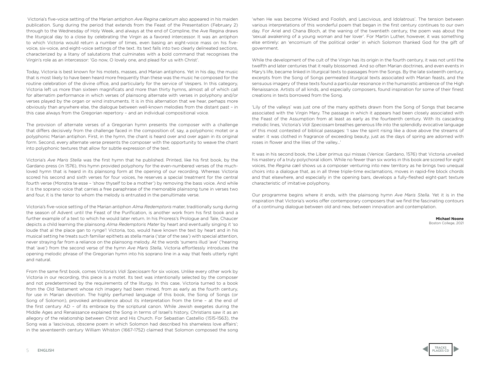Victoria's five-voice setting of the Marian antiphon *Ave Regina cælorum* also appeared in his maiden publication. Sung during the period that extends from the Feast of the Presentation (February 2) through to the Wednesday of Holy Week, and always at the end of Compline, the Ave Regina draws the liturgical day to a close by celebrating the Virgin as a favored intercessor. It was an antiphon to which Victoria would return a number of times, even basing an eight-voice mass on his fivevoice, six-voice, and eight-voice settings of the text. Its text falls into two clearly delineated sections, characterized by a litany of salutations that culminates with a bold command that recognises the Virgin's role as an intercessor: 'Go now, O lovely one, and plead for us with Christ'.

Today, Victoria is best known for his motets, masses, and Marian antiphons. Yet in his day, the music that is most likely to have been heard more frequently than these was the music he composed for the routine celebration of the divine office, and particularly for the service of Vespers. In this category, Victoria left us more than sixteen magnificats and more than thirty hymns, almost all of which call for alternatim performance in which verses of plainsong alternate with verses in polyphony and/or verses played by the organ or wind instruments. It is in this alternation that we hear, perhaps more obviously than anywhere else, the dialogue between well-known melodies from the distant past – in this case always from the Gregorian repertory – and an individual compositional voice.

The provision of alternate verses of a Gregorian hymn presents the composer with a challenge that differs decisively from the challenge faced in the composition of, say, a polyphonic motet or a polyphonic Marian antiphon. First, in the hymn, the chant is heard over and over again in its original form. Second, every alternate verse presents the composer with the opportunity to weave the chant into polyphonic textures that allow for subtle expression of the text.

Victoria's *Ave Maris Stella* was the first hymn that he published. Printed, like his first book, by the Gardano press (in 1576), this hymn provided polyphony for the even-numbered verses of the muchloved hymn that is heard in its plainsong form at the opening of our recording. Whereas Victoria scored his second and sixth verses for four voices, he reserves a special treatment for the central fourth verse (Monstra te esse – 'show thyself to be a mother') by removing the bass voice. And while it is the soprano voice that carries a free paraphrase of the memorable plainsong tune in verses two and four, it is the tenor to whom the melody is entrusted in the penultimate verse.

Victoria's five-voice setting of the Marian antiphon *Alma Redemptoris* mater, traditionally sung during the season of Advent until the Feast of the Purification, is another work from his first book and a further example of a text to which he would later return. In his Prioress's Prologue and Tale, Chaucer depicts a child learning the plainsong *Alma Redemptoris Mater* by heart and eventually singing it 'so loude that al the place gan to rynge'! Victoria, too, would have known the text by heart and in his musical setting he treats such familiar epithets as stella maria ('star of the sea') with special attention, never straying far from a reliance on the plainsong melody. At the words 'sumens illud 'ave' ('hearing that 'ave') from the second verse of the hymn *Ave Maris Stella*, Victoria effortlessly introduces the opening melodic phrase of the Gregorian hymn into his soprano line in a way that feels utterly right and natural.

From the same first book, comes Victoria's *Vidi Speciosam* for six voices. Unlike every other work by Victoria in our recording, this piece is a motet. Its text was intentionally selected by the composer and not predetermined by the requirements of the liturgy. In this case, Victoria turned to a book from the Old Testament whose rich imagery had been mined, from as early as the fourth century, for use in Marian devotion. The highly perfumed language of this book, the Song of Songs (or Song of Solomon), provoked ambivalence about its interpretation from the time – at the end of the first century AD – of its embrace by the scriptural canon. While Jewish exegetes during the Middle Ages and Renaissance explained the Song in terms of Israel's history, Christians saw it as an allegory of the relationship between Christ and His Church. For Sebastian Castellio (1515-1563), the Song was a 'lascivious, obscene poem in which Solomon had described his shameless love affairs'; in the seventeenth century William Whiston (1667-1752) claimed that Solomon composed the song

'when He was become Wicked and Foolish, and Lascivious, and Idolatrous'. The tension between various interpretations of this wonderful poem that began in the first century continues to our own day. For Ariel and Chana Bloch, at the waning of the twentieth century, the poem was about the 'sexual awakening of a young woman and her lover'. For Martin Luther, however, it was something else entirely: an 'encomium of the political order' in which Solomon thanked God for the gift of government.

While the development of the cult of the Virgin has its origin in the fourth century, it was not until the twelfth and later centuries that it really blossomed. And so often Marian doctrines, and even events in Mary's life, became linked in liturgical texts to passages from the Songs. By the late sixteenth century, excerpts from the Song of Songs permeated liturgical texts associated with Marian feasts, and the sensuous imagery of these texts found a particular resonance in the humanistic ambience of the High Renaissance. Artists of all kinds, and especially composers, found inspiration for some of their finest creations in texts borrowed from the Song.

'Lily of the valleys' was just one of the many epithets drawn from the Song of Songs that became associated with the Virgin Mary. The passage in which it appears had been closely associated with the Feast of the Assumption from at least as early as the fourteenth century. With its cascading melodic lines, Victoria's *Vidi Speciosam* breathes generous life into the splendidly evocative language of this most contested of biblical passages: 'I saw the spirit rising like a dove above the streams of water: it was clothed in fragrance of exceeding beauty, just as the days of spring are adorned with roses in flower and the lilies of the valley…'

It was in his second book, the Liber primus qui missas (Venice: Gardano, 1576) that Victoria unveiled his mastery of a truly polychoral idiom. While no fewer than six works in this book are scored for eight voices, the *Regina cæli* shows us a composer venturing into new territory as he brings two unequal choirs into a dialogue that, as in all three triple-time exclamations, moves in rapid-fire block chords and that elsewhere, and especially in the opening bars, develops a fully-fleshed eight-part texture characteristic of imitative polyphony.

Our programme begins where it ends, with the plainsong hymn *Ave Maris Stella*. Yet it is in the inspiration that Victoria's works offer contemporary composers that we find the fascinating contours of a continuing dialogue between old and new, between innovation and contemplation.

> **Michael Noone** Boston College, 2021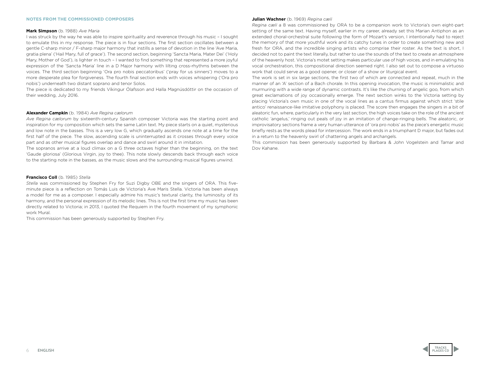## **NOTES FROM THE COMMISSIONED COMPOSERS**

#### **Mark Simpson** (b. 1988) *Ave Maria*

I was struck by the way he was able to inspire spirituality and reverence through his music – I sought to emulate this in my response. The piece is in four sections. The first section oscillates between a gentle C-sharp minor / F-sharp major harmony that instills a sense of devotion in the line 'Ave Maria, gratia plena' ('Hail Mary, full of grace'). The second section, beginning 'Sancta Maria, Mater Dei' ('Holy Mary, Mother of God'), is lighter in touch – I wanted to find something that represented a more joyful expression of the 'Sancta Maria' line in a D Major harmony with lilting cross-rhythms between the voices. The third section beginning 'Ora pro nobis peccatoribus' ('pray for us sinners') moves to a more desperate plea for forgiveness. The fourth final section ends with voices whispering ('Ora pro nobis') underneath two distant soprano and tenor Solos.

The piece is dedicated to my friends Víkingur Ólafsson and Halla Magnúsdóttir on the occasion of their wedding, July 2016.

#### **Alexander Campkin** (b. 1984) *Ave Regina cælorum*

*Ave Regina cælorum* by sixteenth-century Spanish composer Victoria was the starting point and inspiration for my composition which sets the same Latin text. My piece starts on a quiet, mysterious and low note in the basses. This is a very low G, which gradually ascends one note at a time for the first half of the piece. The slow, ascending scale is uninterrupted as it crosses through every voice part and as other musical figures overlap and dance and swirl around it in imitation.

The sopranos arrive at a loud climax on a G three octaves higher than the beginning, on the text 'Gaude gloriosa' (Glorious Virgin, joy to thee). This note slowly descends back through each voice to the starting note in the basses, as the music slows and the surrounding musical figures unwind.

#### **Francisco Coll** (b. 1985) *Stella*

*Stella* was commissioned by Stephen Fry for Suzi Digby OBE and the singers of ORA. This fiveminute piece is a reflection on Tomás Luis de Victoria's Ave Maris Stella. Victoria has been always a model for me as a composer. I especially admire his music's textural clarity, the luminosity of its harmony, and the personal expression of its melodic lines. This is not the first time my music has been directly related to Victoria; in 2013, I quoted the Requiem in the fourth movement of my symphonic work Mural.

This commission has been generously supported by Stephen Fry.

#### **Julian Wachner** (b. 1969) *Regina cæli*

*Regina cæli* a 8 was commissioned by ORA to be a companion work to Victoria's own eight-part setting of the same text. Having myself, earlier in my career, already set this Marian Antiphon as an extended choral-orchestral suite following the form of Mozart's version, I intentionally had to reject the memory of that more youthful work and its catchy tunes in order to create something new and fresh for ORA, and the incredible singing artists who comprise their roster. As the text is short, I decided not to paint the text literally, but rather to use the sounds of the text to create an atmosphere of the heavenly host. Victoria's motet setting makes particular use of high voices, and in emulating his vocal orchestration, this compositional direction seemed right. I also set out to compose a virtuoso work that could serve as a good opener, or closer of a show or liturgical event.

The work is set in six large sections, the first two of which are connected and repeat, much in the manner of an 'A' section of a Bach chorale. In this opening invocation, the music is minimalistic and murmuring with a wide range of dynamic contrasts. It's like the churning of angelic goo, from which great exclamations of joy occasionally emerge. The next section winks to the Victoria setting by placing Victoria's own music in one of the vocal lines as a cantus firmus against which strict 'stile antico' renaissance-like imitative polyphony is placed. The score then engages the singers in a bit of aleatoric fun, where, particularly in the very last section, the high voices take on the role of the ancient catholic 'angelus,' ringing out peals of joy in an imitation of change-ringing bells. The aleatoric, or improvisatory sections frame a very human utterance of 'ora pro nobis' as the piece's energetic music briefly rests as the words plead for intercession. The work ends in a triumphant D major, but fades out in a return to the heavenly swirl of chattering angels and archangels.

This commission has been generously supported by Barbara & John Vogelstein and Tamar and Dov Kahane.

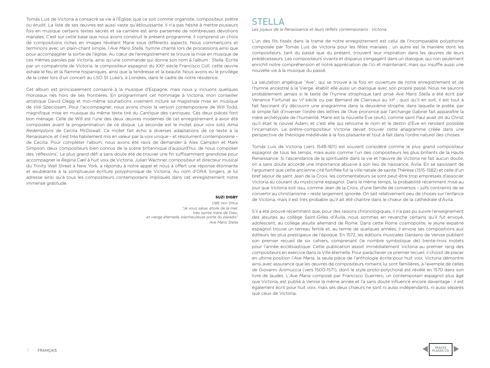Tomás Luis de Victoria a consacré sa vie à l'Église, que ce soit comme organiste, compositeur, prêtre ou érudit. La liste de ses œuvres est aussi vaste qu'éblouissante. Il n'a pas hésité à mettre plusieurs fois en musique certains textes sacrés et sa carrière est ainsi parsemée de nombreuses dévotions mariales. C'est sur cette base que nous avons construit le présent programme. Il comprend un choix de compositions riches en images révélant Marie sous différents aspects. Nous commençons et terminons avec un plain-chant simple, l'*Ave Maris Stella*, hymne chanté lors de processions ainsi que pour accompagner la sortie de l'église. Au cœur de l'enregistrement se trouve la mise en musique de ces mêmes paroles par Victoria, ainsi qu'une commande qui donne son nom à l'album : *Stella*. Écrite par un compatriote de Victoria, le compositeur espagnol du XXIe siècle Francisco Coll, cette œuvre exhale le feu et la flamme hispaniques, ainsi que la tendresse et la beauté. Nous avons eu le privilège de la créer lors d'un concert au LSO St Luke's, à Londres, dans le cadre de notre résidence.

Cet album est principalement consacré à la musique d'Espagne, mais nous y incluons quelques morceaux nés hors de ses frontières. En programmant cet hommage à Victoria, mon conseiller artistique David Clegg et moi-même souhaitions vivement inclure sa magistrale mise en musique de *Vidi Speciosam*. Pour l'accompagner, nous avons choisi la version contemporaine de Will Todd, magnifique mise en musique du même texte tiré du *Cantique des cantiques*. Ces deux pièces font bon ménage. Celle de Will est l'une des deux œuvres modernes de cet enregistrement à avoir été composées avant la programmation de ce disque. La seconde est le motet pour voix solo *Alma Redemptoris* de Cecilia McDowall. Ce motet fait écho à diverses adaptations de ce texte à la Renaissance, et il est très habilement mis en valeur par la voix unique – et résolument contemporaine – de Cecilia. Pour compléter l'album, nous avons été ravis de demander à Alex Campkin et Mark Simpson, deux compositeurs bien connus de la scène britannique d'aujourd'hui, de nous composer des 'réflexions'. Le plus grand défi a sans doute été de trouver une fin suffisamment grandiose pour accompagner le *Regina Cæli* à huit voix de Victoria. Julian Wachner, compositeur et directeur musical du Trinity Wall Street à New York, a répondu à notre appel et nous a offert une réponse étonnante et exubérante à la somptueuse écriture polyphonique de Victoria. Au nom d'ORA Singers, je lui adresse ainsi qu'à tous les compositeurs contemporains impliqués dans cet enregistrement notre immense gratitude.

#### **SUZI DIGBY**

OBE Hon DMus *"Je vous salue, étoile de la mer, très sainte mère de Dieu, et vierge éternelle, bienheureuse porte du paradis" Ave Maris Stella*

## STELL A

*Les joyaux de la Renaissance et leurs reflets contemporains : Victoria*

L'un des fils tissés dans la trame de notre enregistrement est celui de l'incomparable polyphonie composée par Tomás Luis de Victoria pour les fêtes mariales ; un autre est la manière dont les compositeurs, tant du passé que du présent, trouvent leur inspiration dans les œuvres de leurs prédécesseurs. Les compositeurs vivants et disparus s'engagent dans un dialogue, qui non seulement enrichit notre compréhension et notre appréciation de l'ici et maintenant, mais qui insuffle aussi une nouvelle vie à la musique du passé.

La salutation angélique "Ave", qui se trouve à la fois en ouverture de notre enregistrement et de l'hymne ancestral à la Vierge, établit elle aussi un dialogue avec son propre passé. Nous ne saurons probablement jamais si le texte de l'hymne strophique tant prisé *Ave Maris Stella* a été écrit par Venance Fortunat au VIe siècle ou par Bernard de Clairvaux au XIIe ; quoi qu'il en soit, il est tout à fait fascinant d'y découvrir une anagramme dans la deuxième strophe, dans laquelle le poète, par le simple fait d'inverser l'ordre des lettres de l'Ave prononcé par l'archange Gabriel fait apparaître la mère archétypale de l'humanité. Marie est la nouvelle Ève (evA), comme saint Paul avait dit du Christ qu'il était le nouvel Adam, et c'est elle qui retourne le nom et le destin d'Ève en rendant possible l'incarnation. Le prêtre-compositeur Victoria devait trouver cette anagramme créée dans une perspective de théologie médiévale à la fois plaisante et tout à fait dans l'ordre naturel des choses.

Tomás Luis de Victoria (vers 1548-1611) est souvent considéré comme le plus grand compositeur espagnol de tous les temps, mais aussi comme l'un des compositeurs les plus brillants de la Haute Renaissance. Si l'ascendance de la spiritualité dans la vie et l'œuvre de Victoria ne fait aucun doute, on a sans doute accordé une importance abusive à son lieu de naissance, Ávila. En se saisissant de l'argument que cette ancienne cité fortifiée fut la ville natale de sainte Thérèse (1515-1582) et celle d'un bref séjour de saint Jean de la Croix, les commentateurs se sont peut-être trop empressés d'associer Victoria au courant du mysticisme espagnol. Dans le même temps, la probabilité récemment mise au jour que Victoria soit issu, comme Jean de la Croix, d'une famille de *conversos* – juifs contraints de se convertir au christianisme – reste largement ignorée. On sait relativement peu de choses sur l'enfance de Victoria, mais il est très probable qu'il ait été chantre dans le chœur de la cathédrale d'Ávila.

S'il a été prouvé récemment que, pour des raisons chronologiques, il n'a pas pu suivre l'enseignement des jésuites au collège Saint-Gilles d'Ávila, nous sommes en revanche certains qu'il fut envoyé, adolescent, au collège jésuite allemand de Rome. Dans cette Rome cosmopolite, le jeune expatrié espagnol trouve un terreau fertile et, au terme de quelques années, il envoie ses compositions aux éditeurs les plus prestigieux de l'époque. En 1572, les éditions musicales Gardano de Venise publient son premier recueil de six cahiers, comprenant (le nombre symbolique de) trente-trois motets pour l'année ecclésiastique. Cette publication assoit immédiatement Victoria au premier rang des compositeurs en exercice dans la Ville éternelle. Pour parachever ce premier recueil, il choisit de placer en ultime position l'*Ave Maria*, la seule pièce de l'anthologie écrite pour huit voix. Victoria démontre ainsi avec assurance que les œuvres de compositeurs romains lui sont familières, à l'exemple de celles de Giovanni Animuccia (vers 1500-1571), dont le style proto-polychoral est révélé en 1570 dans son livre de *laudes*. L'*Ave Maria* composé par Francisco Guerrero, un contemporain espagnol plus âgé que Victoria, est publié à Venise la même année et l'a sans doute influencé encore davantage : il est également écrit pour huit voix, mais ses deux chœurs ne sont ni aussi indépendants, ni aussi séparés que ceux de Victoria.

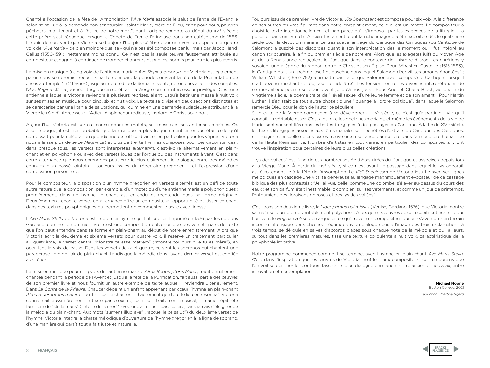Chanté à l'occasion de la fête de l'Annonciation, l'*Ave Maria* associe le salut de l'ange de l'Évangile selon saint Luc à la demande non scripturaire "sainte Marie, mère de Dieu, priez pour nous, pauvres pécheurs, maintenant et à l'heure de notre mort", dont l'origine remonte au début du XVIe siècle ; cette prière s'est répandue lorsque le Concile de Trente l'a incluse dans son catéchisme de 1566. L'ironie du sort veut que Victoria soit aujourd'hui plus célèbre pour une version populaire à quatre voix de l'*Ave Maria* – de bien moindre qualité – qui n'a pas été composée par lui, mais par Jacob Handl Gallus (1550-1591), nettement moins connu. Ce n'est pas la seule œuvre faussement attribuée au compositeur espagnol à continuer de tromper chanteurs et publics, hormis peut-être les plus avertis.

La mise en musique à cinq voix de l'antienne mariale *Ave Regina cælorum* de Victoria est également parue dans son premier recueil. Chantée pendant la période couvrant la fête de la Présentation de Jésus au Temple (le 2 février) jusqu'au mercredi de la Semaine sainte, et toujours à la fin des complies, l'*Ave Regina* clôt la journée liturgique en célébrant la Vierge comme intercesseur privilégié. C'est une antienne à laquelle Victoria reviendra à plusieurs reprises, allant jusqu'à bâtir une messe à huit voix sur ses mises en musique pour cinq, six et huit voix. Le texte se divise en deux sections distinctes et se caractérise par une litanie de salutations, qui culmine en une demande audacieuse attribuant à la Vierge le rôle d'intercesseur : "Adieu, ô splendeur radieuse, implore le Christ pour nous".

Aujourd'hui Victoria est surtout connu pour ses motets, ses messes et ses antiennes mariales. Or, à son époque, il est très probable que la musique la plus fréquemment entendue était celle qu'il composait pour la célébration quotidienne de l'office divin, et en particulier pour les vêpres. Victoria nous a laissé plus de seize *Magnificat* et plus de trente hymnes composés pour ces circonstances ; dans presque tous, les versets sont interprétés *alternatim*, c'est-à-dire alternativement en plainchant et en polyphonie ou avec des versets joués par l'orgue ou des instruments à vent. C'est dans cette alternance que nous entendons peut-être le plus clairement le dialogue entre des mélodies connues d'un passé lointain – toujours issues du répertoire grégorien – et l'expression d'une composition personnelle.

Pour le compositeur, la disposition d'un hymne grégorien en versets alternés est un défi de toute autre nature que la composition, par exemple, d'un motet ou d'une antienne mariale polyphoniques : premièrement, dans un hymne, le chant est entendu et réentendu dans sa forme originale. Deuxièmement, chaque verset en alternance offre au compositeur l'opportunité de tisser ce chant dans des textures polyphoniques qui permettent de commenter le texte avec finesse.

L'*Ave Maris Stella* de Victoria est le premier hymne qu'il fit publier. Imprimé en 1576 par les éditions Gardano, comme son premier livre, c'est une composition polyphonique des versets pairs du texte que l'on peut entendre dans sa forme en plain-chant au début de notre enregistrement. Alors que Victoria écrit le deuxième et sixième versets pour quatre voix, il réserve un traitement particulier au quatrième, le verset central "Monstra te esse matrem" ("montre toujours que tu es mère"), en occultant la voix de basse. Dans les versets deux et quatre, ce sont les sopranos qui chantent une paraphrase libre de l'air de plain-chant, tandis que la mélodie dans l'avant-dernier verset est confiée aux ténors.

La mise en musique pour cinq voix de l'antienne mariale *Alma Redemptoris Mater*, traditionnellement chantée pendant la période de l'Avent et jusqu'à la fête de la Purification, fait aussi partie des œuvres de son premier livre et nous fournit un autre exemple de texte auquel il reviendra ultérieurement. Dans *Le Conte de la Prieure*, Chaucer dépeint un enfant apprenant par cœur l'hymne en plain-chant *Alma redemptoris mater* et qui finit par le chanter "si hautement que tout le lieu en résonna". Victoria connaissait aussi sûrement le texte par cœur et, dans son traitement musical, il manie l'épithète familière de "stella maris" ("étoile de la mer") avec une attention particulière, sans jamais s'éloigner de la mélodie du plain-chant. Aux mots "sumens illud ave" ("accueille ce salut") du deuxième verset de l'hymne, Victoria intègre la phrase mélodique d'ouverture de l'hymne grégorien à la ligne de soprano, d'une manière qui paraît tout à fait juste et naturelle.

Toujours issu de ce premier livre de Victoria, *Vidi Speciosam* est composé pour six voix. À la différence de ses autres œuvres figurant dans notre enregistrement, celle-ci est un motet. Le compositeur a choisi le texte intentionnellement et non parce qu'il s'imposait par les exigences de la liturgie. Il a puisé ici dans un livre de l'Ancien Testament, dont la riche imagerie a été exploitée dès le quatrième siècle pour la dévotion mariale. Le très suave langage du Cantique des Cantiques (ou Cantique de Salomon) a suscité des discordes quant à son interprétation dès le moment où il fut intégré au canon scripturaire, à la fin du premier siècle de notre ère. Alors que les exégètes juifs du Moyen Âge et de la Renaissance replaçaient le Cantique dans le contexte de l'histoire d'Israël, les chrétiens y voyaient une allégorie du rapport entre le Christ et son Église. Pour Sébastien Castellio (1515-1563), le Cantique était un "poème lascif et obscène dans lequel Salomon décrivit ses amours éhontées" ; William Whiston (1667-1752) affirmait quant à lui que Salomon avait composé le Cantique "lorsqu'il était devenu méchant et fou, lascif et idolâtre". Les tensions entre les diverses interprétations de ce merveilleux poème se poursuivent jusqu'à nos jours. Pour Ariel et Chana Bloch, au déclin du vingtième siècle, le poème traite de "l'éveil sexuel d'une jeune femme et de son amant". Pour Martin Luther, il s'agissait de tout autre chose : d'une "louange à l'ordre politique", dans laquelle Salomon remercie Dieu pour le don de l'autorité séculière.

Si le culte de la Vierge commence à se développer au IVe siècle, ce n'est qu'à partir du XIIe qu'il connaît un véritable essor. C'est ainsi que les doctrines mariales, et même les événements de la vie de Marie, sont souvent liés dans les textes liturgiques à des passages du Cantique. À la fin du XVI<sup>e</sup> siècle, les textes liturgiques associés aux fêtes mariales sont pénétrés d'extraits du Cantique des Cantiques, et l'imagerie sensuelle de ces textes trouve une résonance particulière dans l'atmosphère humaniste de la Haute Renaissance. Nombre d'artistes en tout genre, en particulier des compositeurs, y ont trouvé l'inspiration pour certaines de leurs plus belles créations.

"Lys des vallées" est l'une de ces nombreuses épithètes tirées du Cantique et associées depuis lors à la Vierge Marie. À partir du XIVe siècle, si ce n'est avant, le passage dans lequel le lys apparaît est étroitement lié à la fête de l'Assomption. Le *Vidi Speciosam* de Victoria insuffle avec ses lignes mélodiques en cascade une vitalité généreuse au langage magnifiquement évocateur de ce passage biblique des plus contestés : "Je l'ai vue, belle, comme une colombe, s'élever au-dessus du cours des eaux ; et son parfum était inestimable, ô combien, sur ses vêtements, et comme un jour de printemps, l'entouraient des floraisons de roses et des lys des vallées".

C'est dans son deuxième livre, le *Liber primus qui missas* (Venise, Gardano, 1576), que Victoria montre sa maîtrise d'un idiome véritablement polychoral. Alors que six œuvres de ce recueil sont écrites pour huit voix, le *Regina cæli* se démarque en ce qu'il révèle un compositeur qui ose s'aventurer en terrain inconnu : il engage deux chœurs inégaux dans un dialogue qui, à l'image des trois exclamations à trois temps, se déroule en salves d'accords placés sous chaque note de la mélodie et qui, ailleurs, surtout dans les premières mesures, tisse une texture corpulente à huit voix, caractéristique de la polyphonie imitative.

Notre programme commence comme il se termine, avec l'hymne en plain-chant *Ave Maris Stella*. C'est dans l'inspiration que les œuvres de Victoria insufflent aux compositeurs contemporains que l'on voit se dessiner les contours fascinants d'un dialogue permanent entre ancien et nouveau, entre innovation et contemplation.

> **Michael Noone** Boston College, 2021 *Traduction : Martine Sgard*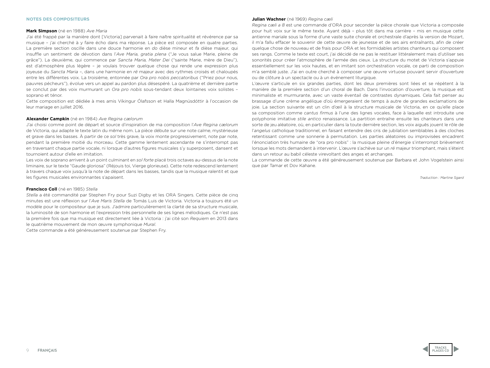#### **NOTES DES COMPOSITEURS**

#### **Mark Simpson** (né en 1988) *Ave Maria*

J'ai été frappé par la manière dont [Victoria] parvenait à faire naître spiritualité et révérence par sa musique – j'ai cherché à y faire écho dans ma réponse. La pièce est composée en quatre parties. La première section oscille dans une douce harmonie en *do* dièse mineur et *fa* dièse majeur*,* qui insuffle un sentiment de dévotion dans l'*Ave Maria, gratia plena* ("Je vous salue Marie, pleine de grâce"). La deuxième, qui commence par *Sancta Maria, Mater Dei* ("sainte Marie, mère de Dieu"), est d'atmosphère plus légère – je voulais trouver quelque chose qui rende une expression plus joyeuse du *Sancta Maria* –, dans une harmonie en *ré* majeur avec des rythmes croisés et chaloupés entre les différentes voix. La troisième, entonnée par *Ora pro nobis peccatoribus* ("Priez pour nous, pauvres pécheurs"), évolue vers un appel au pardon plus désespéré. La quatrième et dernière partie se conclut par des voix murmurant un *Ora pro nobis* sous-tendant deux lointaines voix solistes – soprano et ténor.

Cette composition est dédiée à mes amis Víkingur Ólafsson et Halla Magnúsdóttir à l'occasion de leur mariage en juillet 2016.

#### **Alexander Campkin** (né en 1984) *Ave Regina cælorum*

J'ai choisi comme point de départ et source d'inspiration de ma composition l'*Ave Regina cælorum* de Victoria, qui adapte le texte latin du même nom. La pièce débute sur une note calme, mystérieuse et grave dans les basses. À partir de ce *sol* très grave, la voix monte progressivement, note par note, pendant la première moitié du morceau. Cette gamme lentement ascendante ne s'interrompt pas en traversant chaque partie vocale, ni lorsque d'autres figures musicales s'y superposent, dansent et tournoient autour d'elle en imitation.

Les voix de soprano arrivent à un point culminant en *sol forte* placé trois octaves au-dessus de la note liminaire, sur le texte "Gaude gloriosa" (Réjouis toi, Vierge glorieuse). Cette note redescend lentement à travers chaque voix jusqu'à la note de départ dans les basses, tandis que la musique ralentit et que les figures musicales environnantes s'apaisent.

#### **Francisco Coll** (né en 1985) *Stella*

*Stella* a été commandité par Stephen Fry pour Suzi Digby et les ORA Singers. Cette pièce de cinq minutes est une réflexion sur l'*Ave Maris Stella* de Tomás Luis de Victoria. Victoria a toujours été un modèle pour le compositeur que je suis. J'admire particulièrement la clarté de sa structure musicale, la luminosité de son harmonie et l'expression très personnelle de ses lignes mélodiques. Ce n'est pas la première fois que ma musique est directement liée à Victoria : j'ai cité son *Requiem* en 2013 dans le quatrième mouvement de mon œuvre symphonique *Mural*.

Cette commande a été généreusement soutenue par Stephen Fry.

#### **Julian Wachner** (né 1969) *Regina cæli*

*Regina cæli a 8* est une commande d'ORA pour seconder la pièce chorale que Victoria a composée pour huit voix sur le même texte. Ayant déjà – plus tôt dans ma carrière – mis en musique cette antienne mariale sous la forme d'une vaste suite chorale et orchestrale d'après la version de Mozart, il m'a fallu effacer le souvenir de cette œuvre de jeunesse et de ses airs entraînants, afin de créer quelque chose de nouveau et de frais pour ORA et les formidables artistes chanteurs qui composent ses rangs. Comme le texte est court, j'ai décidé de ne pas le restituer littéralement mais d'utiliser ses sonorités pour créer l'atmosphère de l'armée des cieux. La structure du motet de Victoria s'appuie essentiellement sur les voix hautes, et en imitant son orchestration vocale, ce parti de composition m'a semblé juste. J'ai en outre cherché à composer une œuvre virtuose pouvant servir d'ouverture ou de clôture à un spectacle ou à un événement liturgique.

L'œuvre s'articule en six grandes parties, dont les deux premières sont liées et se répètent à la manière de la première section d'un choral de Bach. Dans l'invocation d'ouverture, la musique est minimaliste et murmurante, avec un vaste éventail de contrastes dynamiques. Cela fait penser au brassage d'une crème angélique d'où émergeraient de temps à autre de grandes exclamations de joie. La section suivante est un clin d'œil à la structure musicale de Victoria, en ce qu'elle place sa composition comme *cantus firmus* à l'une des lignes vocales, face à laquelle est introduite une polyphonie imitative *stile antico* renaissance. La partition entraîne ensuite les chanteurs dans une sorte de jeu aléatoire, où, en particulier dans la toute dernière section, les voix aiguës jouent le rôle de l'*angelus* catholique traditionnel, en faisant entendre des cris de jubilation semblables à des cloches retentissant comme une sonnerie à permutation. Les parties aléatoires ou improvisées encadrent l'énonciation très humaine de "ora pro nobis" : la musique pleine d'énergie s'interrompt brièvement lorsque les mots demandent à intervenir. L'œuvre s'achève sur un *ré* majeur triomphant, mais s'éteint dans un retour au babil céleste virevoltant des anges et archanges.

La commande de cette œuvre a été généreusement soutenue par Barbara et John Vogelstein ainsi que par Tamar et Dov Kahane.

*Traduction : Martine Sgard*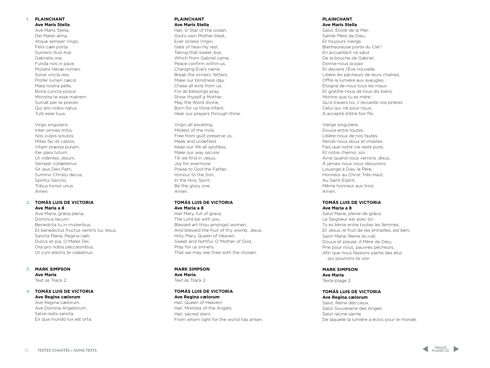## **1. PLAINCHANT**

**Ave Maris Stella**

Ave Maris Stella, Dei Mater alma, Atque semper Virgo, Felix cæli porta. Sumens illud Ave Gabrielis ore, Funda nos in pace, Mutans Hevæ nomen. Solve vincla reis, Profer lumen cæcis: Mala nostra pelle, Bona cuncta posce. Monstra te esse matrem: Sumat per te preces, Qui pro nobis natus, Tulit esse tuus.

Virgo singularis, Inter omnes mitis, Nos culpis solutos, Mites fac et castos. Vitam præsta puram, Iter para tutum: Ut videntes Jesum, Semper collætemur. Sit laus Deo Patri, Summo Christo decus, Spiritui Sancto, Tribus honor unus. Amen.

### **2. TOMÁS LUIS DE VICTORIA Ave Maria a 8**

Ave Maria, gratia plena, Dominus tecum: Benedicta tu in mulieribus, Et benedictus fructus ventris tui, Iesus. Sancta Maria, Regina cæli, Dulcis et pia, O Mater Dei, Ora pro nobis peccatoribus, Ut cum electis te videamus.

#### **3. MARK SIMPSON Ave Maria**  Text as Track 2

#### **4. TOMÁS LUIS DE VICTORIA Ave Regina cælorum**  Ave Regina cælorum, Ave Domina Angelorum: Salve radix sancta, Ex qua mundo lux est orta.

#### **PLAINCHANT Ave Maris Stella**

Hail, O Star of the ocean, God's own Mother blest, Ever sinless Virgin, Gate of heav'nly rest. Taking that sweet Ave, Which from Gabriel came, Peace confirm within us, Changing Eve's name. Break the sinners' fetters, Make our blindness day, Chase all evils from us, For all blessings pray. Show thyself a Mother, May the Word divine, Born for us thine Infant, Hear our prayers through thine.

#### Virgin all excelling, Mildest of the mild, Free from quilt preserve us. Meek and undefiled. Keep our life all spotless, Make our way secure: Till we find in Jesus, Joy for evermore. Praise to God the Father, Honour to the Son, In the Holy Spirit, Be the glory one. Amen.

### **TOMÁS LUIS DE VICTORIA Ave Maria a 8**

Hail Mary, full of grace, The Lord be with you. Blessed art thou amongst women, And blessed the fruit of thy womb, Jesus. Holy Mary, Queen of Heaven, Sweet and faithful, O Mother of God, Pray for us sinners, That we may see thee with the chosen.

#### **MARK SIMPSON Ave Maria**

Text as Track 2

## **TOMÁS LUIS DE VICTORIA Ave Regina cælorum**

Hail, Queen of Heaven! Hail, Mistress of the Angels. Hail, sacred stem, From whom light for the world has arisen.

#### **PLAINCHANT Ave Maris Stella**

Salut, Étoile de la Mer, Sainte Mère de Dieu, Et toujours Vierge, Bienheureuse porte du Ciel ! En accueillant ce salut De la bouche de Gabriel, Donne-nous la paix Et deviens l'Ève nouvelle. Libère les pécheurs de leurs chaînes, Offre la lumière aux aveugles : Éloigne de nous tous les maux Et gratifie-nous de tous les biens. Montre que tu es mère : Qu'à travers toi, il recueille nos prières Celui qui, né pour nous, A accepté d'être ton fils.

Vierge singulière, Douce entre toutes, Libère-nous de nos fautes, Rends-nous doux et chastes. Fais que notre vie reste pure, Et notre chemin, sûr : Ainsi quand nous verrons Jésus, À jamais nous nous réjouirons. Louange à Dieu le Père, Honneur au Christ Très-Haut, Au Saint-Esprit, Même honneur aux trois. Amen.

### **TOMÁS LUIS DE VICTORIA Ave Maria a 8**

Salut Marie, pleine de grâce, Le Seigneur est avec toi : Tu es bénie entre toutes les femmes, Et Jésus, le fruit de tes entrailles, est béni. Saint Marie, Reine du ciel, Douce et pieuse, ô Mère de Dieu, Prie pour nous, pauvres pécheurs, Afin que nous fassions partie des élus qui pourrons te voir.

#### **MARK SIMPSON Ave Maria**

Texte plage 2

**TOMÁS LUIS DE VICTORIA Ave Regina cælorum**  Salut, Reine des cieux, Salut Souveraine des Anges: Salut racine sainte De laquelle la lumière a éclos pour le monde.

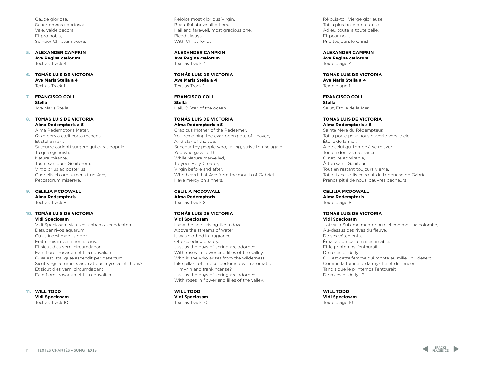- Gaude gloriosa, Super omnes speciosa: Vale, valde decora, Et pro nobis, Semper Christum exora.
- **5. ALEXANDER CAMPKIN Ave Regina cælorum**  Text as Track 4
- **6. TOMÁS LUIS DE VICTORIA Ave Maris Stella a 4**  Text as Track 1

#### **7. FRANCISCO COLL Stella**  Ave Maris Stella.

#### **8. TOMÁS LUIS DE VICTORIA Alma Redemptoris a 5**

Alma Redemptoris Mater, Quæ pervia cæli porta manens, Et stella maris, Succurre cadenti surgere qui curat populo: Tu quæ genuisti, Natura mirante, Tuum sanctum Genitorem: Virgo prius ac posterius, Gabrielis ab ore sumens illud Ave, Peccatorum miserere.

### **9. CELILIA MCDOWALL**

**Alma Redemptoris**  Text as Track 8

#### **10. TOMÁS LUIS DE VICTORIA Vidi Speciosam**

Vidi Speciosam sicut columbam ascendentem, Desuper rivos aquarum: Cuius inæstimabilis odor Erat nimis in vestimentis eius. Et sicut dies verni circumdabant Eam flores rosarum et lilia convalium. Quæ est ista, quæ ascendit per desertum Sicut virgula fumi ex aromatibus myrrhæ et thuris? Et sicut dies verni circumdabant Eam flores rosarum et lilia convalium.

**11. WILL TODD Vidi Speciosam**  Text as Track 10

Rejoice most glorious Virgin, Beautiful above all others. Hail and farewell, most gracious one, Plead always With Christ for us.

**ALEXANDER CAMPKIN Ave Regina cælorum**  Text as Track 4

**TOMÁS LUIS DE VICTORIA Ave Maris Stella a 4**  Text as Track 1

**FRANCISCO COLL Stella**  Hail, O Star of the ocean.

#### **TOMÁS LUIS DE VICTORIA Alma Redemptoris a 5**

Gracious Mother of the Redeemer, You remaining the ever-open gate of Heaven, And star of the sea, Succour thy people who, falling, strive to rise again. You who gave birth, While Nature marvelled, To your Holy Creator, Virgin before and after, Who heard that Ave from the mouth of Gabriel, Have mercy on sinners.

#### **CELILIA MCDOWALL Alma Redemptoris**

Text as Track 8

#### **TOMÁS LUIS DE VICTORIA Vidi Speciosam**

I saw the spirit rising like a dove Above the streams of water: it was clothed in fragrance Of exceeding beauty, Just as the days of spring are adorned With roses in flower and lilies of the valley. Who is she who arises from the wilderness Like pillars of smoke, perfumed with aromatic myrrh and frankincense? Just as the days of spring are adorned With roses in flower and lilies of the valley.

**WILL TODD Vidi Speciosam**  Text as Track 10

Réjouis-toi, Vierge glorieuse, Toi la plus belle de toutes : Adieu, toute la toute belle, Et pour nous, Prie toujours le Christ.

**ALEXANDER CAMPKIN Ave Regina cælorum**  Texte plage 4

**TOMÁS LUIS DE VICTORIA Ave Maris Stella a 4**  Texte plage 1

**FRANCISCO COLL Stella**  Salut, Étoile de la Mer.

## **TOMÁS LUIS DE VICTORIA**

**Alma Redemptoris a 5**  Sainte Mère du Rédempteur, Toi la porte pour nous ouverte vers le ciel, Étoile de la mer, Aide celui qui tombe à se relever : Toi qui donnas naissance, Ô nature admirable, À ton saint Géniteur, Tout en restant toujours vierge, Toi qui accueillis ce salut de la bouche de Gabriel, Prends pitié de nous, pauvres pécheurs.

**CELILIA MCDOWALL**

**Alma Redemptoris**  Texte plage 8

#### **TOMÁS LUIS DE VICTORIA Vidi Speciosam**

J'ai vu la Sublime monter au ciel comme une colombe, Au-dessus des rives du fleuve.

De ses vêtements, Émanait un parfum inestimable, Et le printemps l'entourait De roses et de lys. Qui est cette femme qui monte au milieu du désert Comme la fumée de la myrrhe et de l'encens Tandis que le printemps l'entourait De roses et de lys ?

**WILL TODD Vidi Speciosam**  Texte plage 10

**plages cD**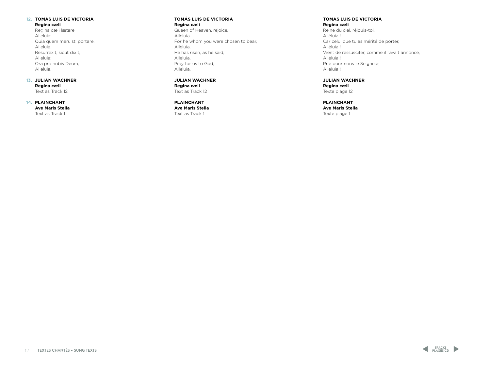### **12. TOMÁS LUIS DE VICTORIA Regina cæli**

Regina cæli lætare, Alleluia: Quia quem meruisti portare, Alleluia. Resurrexit, sicut dixit, Alleluia: Ora pro nobis Deum, Alleluia.

#### **13. JULIAN WACHNER Regina cæli** Text as Track 12

**14. PLAINCHANT Ave Maris Stella** Text as Track 1

#### **TOMÁS LUIS DE VICTORIA Regina cæli**

Queen of Heaven, rejoice, Alleluia. For he whom you were chosen to bear, Alleluia. He has risen, as he said, Alleluia. Pray for us to God, Alleluia.

#### **JULIAN WACHNER Regina cæli**

Text as Track 12

## **PLAINCHANT Ave Maris Stella**

Text as Track 1

### **TOMÁS LUIS DE VICTORIA Regina cæli**

Reine du ciel, réjouis-toi, Alléluia ! Car celui que tu as mérité de porter, Alléluia ! Vient de ressusciter, comme il l'avait annoncé, Alléluia ! Prie pour nous le Seigneur, Alléluia !

## **JULIAN WACHNER**

**Regina cæli** Texte plage 12

**PLAINCHANT Ave Maris Stella** Texte plage 1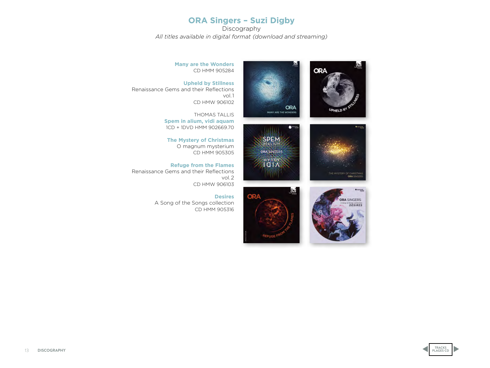## **ORA Singers – Suzi Digby**

**Discography** *All titles available in digital format (download and streaming)*

**ORA** 

**Many are the Wonders** CD HMM 905284

**Upheld by Stillness** Renaissance Gems and their Reflections vol.1 CD HMW 906102

> THOMAS TALLIS  **Spem in alium, vidi aquam**  1CD + 1DVD HMM 902669.70

**The Mystery of Christmas** O magnum mysterium CD HMM 905305

**Refuge from the Flames** Renaissance Gems and their Reflections vol.2 CD HMW 906103

> **Desires** A Song of the Songs collection CD HMM 905316